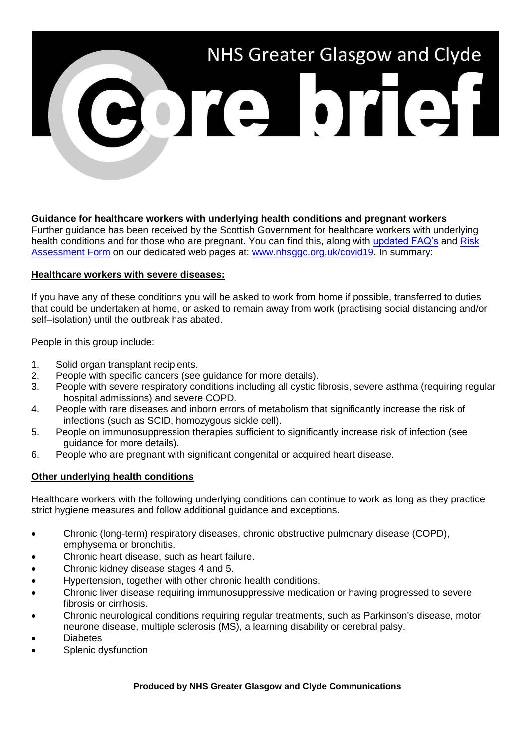

**Guidance for healthcare workers with underlying health conditions and pregnant workers** Further guidance has been received by the Scottish Government for healthcare workers with underlying health conditions and for those who are pregnant. You can find this, along with [updated FAQ's](https://www.nhsggc.org.uk/your-health/health-issues/covid-19-coronavirus/for-nhsggc-staff/faqs/) and Risk [Assessment Form](https://www.nhsggc.org.uk/your-health/health-issues/covid-19-coronavirus/for-nhsggc-staff/general-staff-guidance/) on our dedicated web pages at: [www.nhsggc.org.uk/covid19.](http://www.nhsggc.org.uk/covid19) In summary:

## **Healthcare workers with severe diseases:**

If you have any of these conditions you will be asked to work from home if possible, transferred to duties that could be undertaken at home, or asked to remain away from work (practising social distancing and/or self–isolation) until the outbreak has abated.

People in this group include:

- 1. Solid organ transplant recipients.
- 2. People with specific cancers (see guidance for more details).
- 3. People with severe respiratory conditions including all cystic fibrosis, severe asthma (requiring regular hospital admissions) and severe COPD.
- 4. People with rare diseases and inborn errors of metabolism that significantly increase the risk of infections (such as SCID, homozygous sickle cell).
- 5. People on immunosuppression therapies sufficient to significantly increase risk of infection (see quidance for more details).
- 6. People who are pregnant with significant congenital or acquired heart disease.

## **Other underlying health conditions**

Healthcare workers with the following underlying conditions can continue to work as long as they practice strict hygiene measures and follow additional guidance and exceptions.

- Chronic (long-term) respiratory diseases, chronic obstructive pulmonary disease (COPD), emphysema or bronchitis.
- Chronic heart disease, such as heart failure.
- Chronic kidney disease stages 4 and 5.
- Hypertension, together with other chronic health conditions.
- Chronic liver disease requiring immunosuppressive medication or having progressed to severe fibrosis or cirrhosis.
- Chronic neurological conditions requiring regular treatments, such as Parkinson's disease, motor neurone disease, multiple sclerosis (MS), a learning disability or cerebral palsy.
- **Diabetes**
- Splenic dysfunction

## **Produced by NHS Greater Glasgow and Clyde Communications**